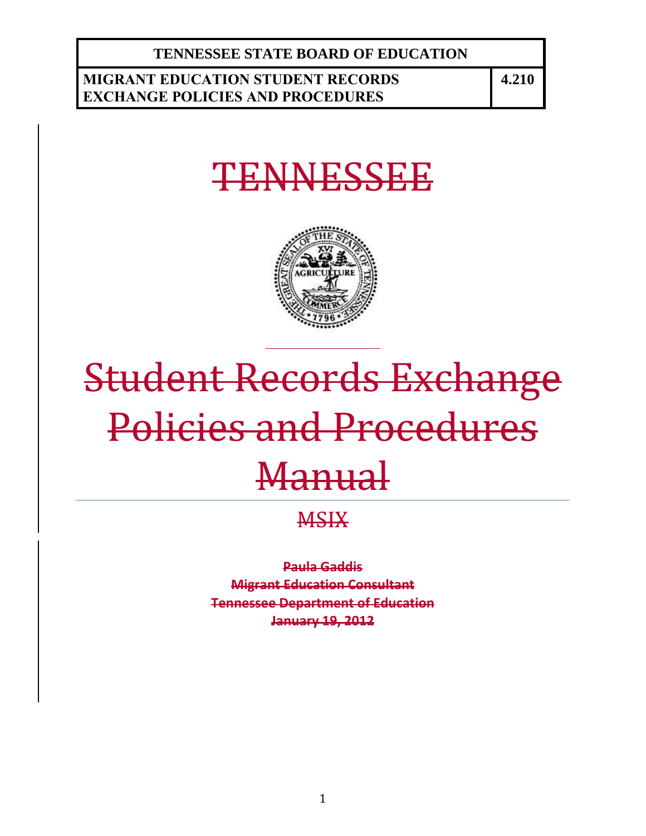**TENNESSEE STATE BOARD OF EDUCATION**

# **MIGRANT EDUCATION STUDENT RECORDS EXCHANGE POLICIES AND PROCEDURES**

**4.210**

# TENNESSEE



# Student Records Exchange Policies and Procedures **Manual**

# **MSIX**

**Paula Gaddis Migrant Education Consultant Tennessee Department of Education January 19, 2012**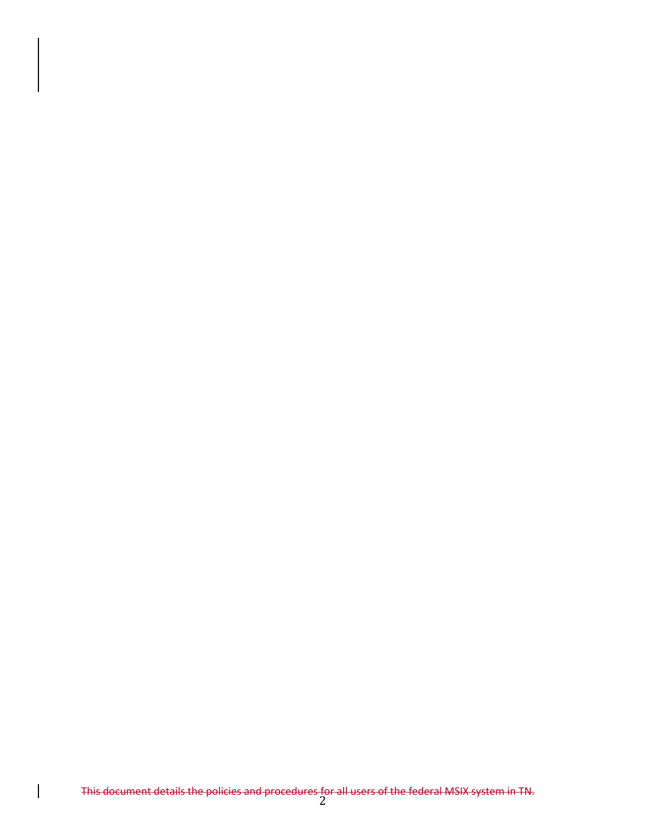This document details the policies and procedures for all users of the federal MSIX system in TN.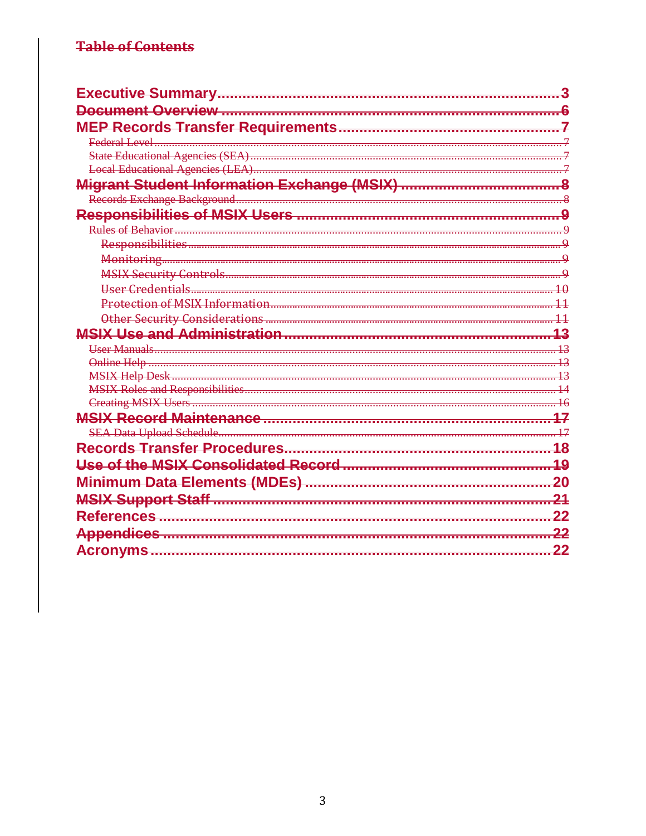# **Table of Contents**

| Federal Level      |       |
|--------------------|-------|
|                    |       |
|                    |       |
|                    |       |
|                    |       |
|                    |       |
| Rules of Behavior. |       |
|                    |       |
|                    |       |
|                    |       |
|                    |       |
|                    |       |
|                    |       |
|                    |       |
|                    |       |
|                    |       |
|                    |       |
|                    |       |
|                    |       |
|                    |       |
|                    |       |
|                    |       |
|                    |       |
|                    | 20    |
|                    |       |
|                    |       |
|                    |       |
|                    | $-22$ |
|                    |       |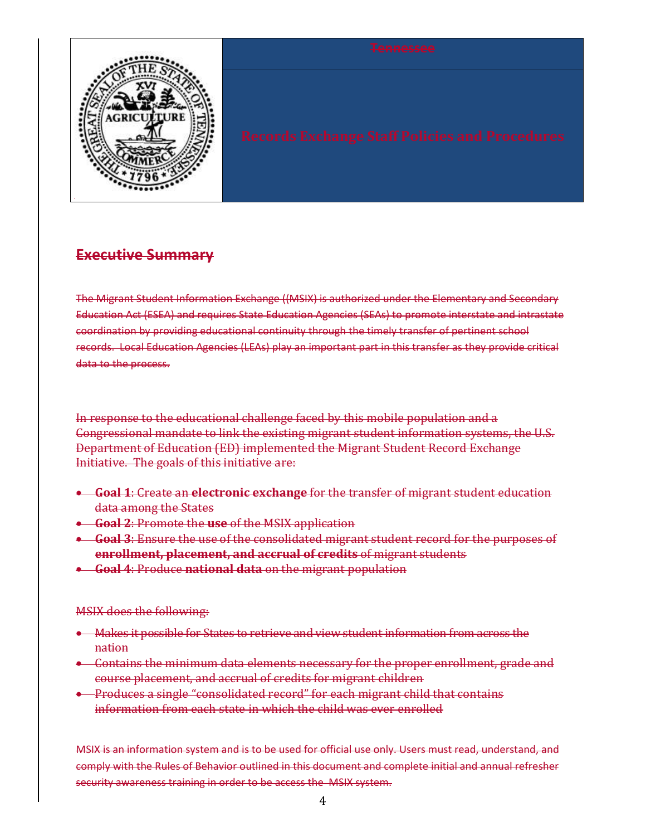

# **Executive Summary**

The Migrant Student Information Exchange ((MSIX) is authorized under the Elementary and Secondary Education Act (ESEA) and requires State Education Agencies (SEAs) to promote interstate and intrastate coordination by providing educational continuity through the timely transfer of pertinent school records. Local Education Agencies (LEAs) play an important part in this transfer as they provide critical data to the process.

In response to the educational challenge faced by this mobile population and a Congressional mandate to link the existing migrant student information systems, the U.S. Department of Education (ED) implemented the Migrant Student Record Exchange Initiative. The goals of this initiative are:

- **Goal 1**: Create an **electronic exchange** for the transfer of migrant student education data among the States
- **Goal 2**: Promote the **use** of the MSIX application
- **Goal 3**: Ensure the use of the consolidated migrant student record for the purposes of **enrollment, placement, and accrual of credits** of migrant students
- **Goal 4**: Produce **national data** on the migrant population

## MSIX does the following:

- Makes it possible for States to retrieve and view student information from across the nation
- **•** Contains the minimum data elements necessary for the proper enrollment, grade and course placement, and accrual of credits for migrant children
- **•** Produces a single "consolidated record" for each migrant child that contains information from each state in which the child was ever enrolled

MSIX is an information system and is to be used for official use only. Users must read, understand, and comply with the Rules of Behavior outlined in this document and complete initial and annual refresher security awareness training in order to be access the MSIX system.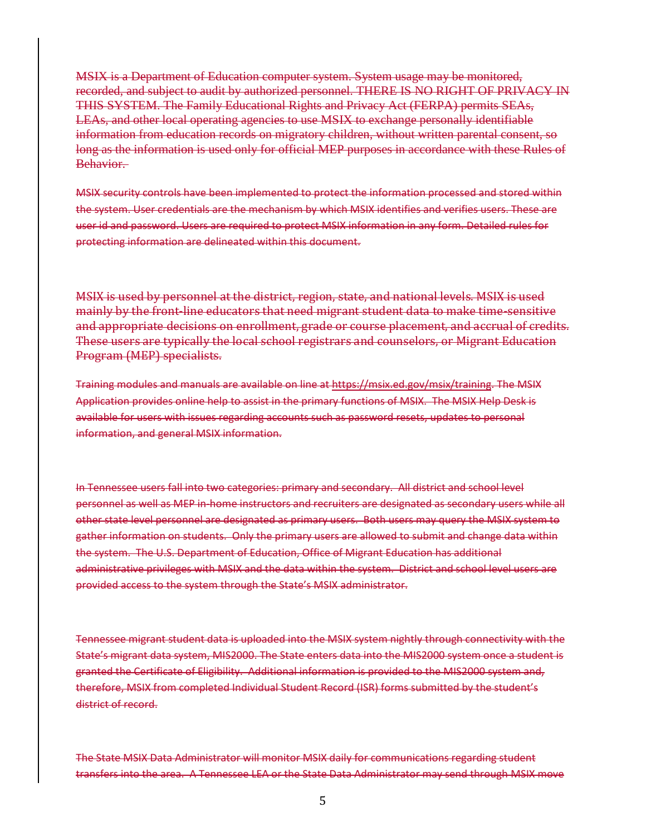MSIX is a Department of Education computer system. System usage may be monitored, recorded, and subject to audit by authorized personnel. THERE IS NO RIGHT OF PRIVACY IN THIS SYSTEM. The Family Educational Rights and Privacy Act (FERPA) permits SEAs, LEAs, and other local operating agencies to use MSIX to exchange personally identifiable information from education records on migratory children, without written parental consent, so long as the information is used only for official MEP purposes in accordance with these Rules of Behavior.

MSIX security controls have been implemented to protect the information processed and stored within the system. User credentials are the mechanism by which MSIX identifies and verifies users. These are user id and password. Users are required to protect MSIX information in any form. Detailed rules for protecting information are delineated within this document.

MSIX is used by personnel at the district, region, state, and national levels. MSIX is used mainly by the front-line educators that need migrant student data to make time-sensitive and appropriate decisions on enrollment, grade or course placement, and accrual of credits. These users are typically the local school registrars and counselors, or Migrant Education Program (MEP) specialists.

Training modules and manuals are available on line at https://msix.ed.gov/msix/training. The MSIX Application provides online help to assist in the primary functions of MSIX. The MSIX Help Desk is available for users with issues regarding accounts such as password resets, updates to personal information, and general MSIX information.

In Tennessee users fall into two categories: primary and secondary. All district and school level personnel as well as MEP in-home instructors and recruiters are designated as secondary users while all other state level personnel are designated as primary users. Both users may query the MSIX system to gather information on students. Only the primary users are allowed to submit and change data within the system. The U.S. Department of Education, Office of Migrant Education has additional administrative privileges with MSIX and the data within the system. District and school level users are provided access to the system through the State's MSIX administrator.

Tennessee migrant student data is uploaded into the MSIX system nightly through connectivity with the State's migrant data system, MIS2000. The State enters data into the MIS2000 system once a student is granted the Certificate of Eligibility. Additional information is provided to the MIS2000 system and, therefore, MSIX from completed Individual Student Record (ISR) forms submitted by the student's district of record.

The State MSIX Data Administrator will monitor MSIX daily for communications regarding student transfers into the area. A Tennessee LEA or the State Data Administrator may send through MSIX move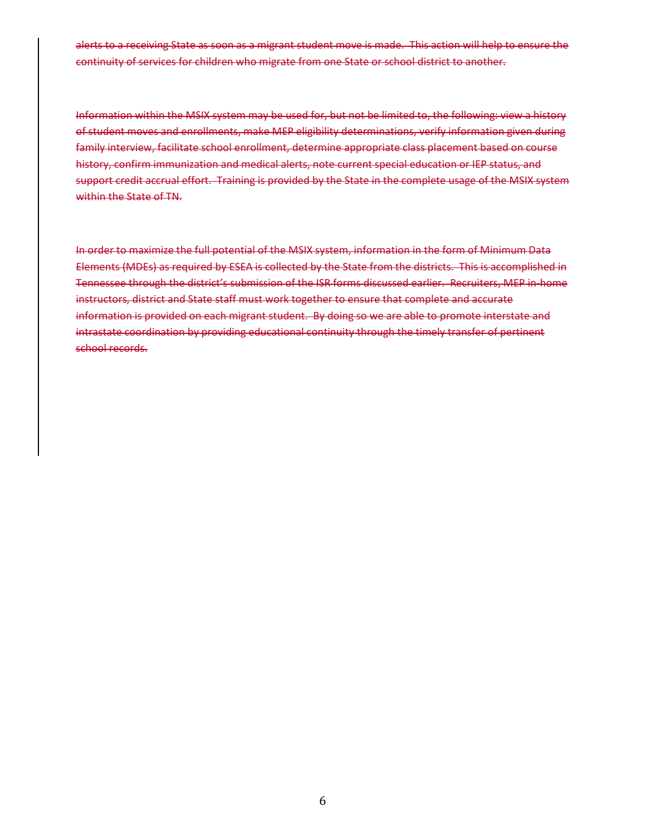alerts to a receiving State as soon as a migrant student move is made. This action will help to ensure the continuity of services for children who migrate from one State or school district to another.

Information within the MSIX system may be used for, but not be limited to, the following: view a history of student moves and enrollments, make MEP eligibility determinations, verify information given during family interview, facilitate school enrollment, determine appropriate class placement based on course history, confirm immunization and medical alerts, note current special education or IEP status, and support credit accrual effort. Training is provided by the State in the complete usage of the MSIX system within the State of TN.

In order to maximize the full potential of the MSIX system, information in the form of Minimum Data Elements (MDEs) as required by ESEA is collected by the State from the districts. This is accomplished in Tennessee through the district's submission of the ISR forms discussed earlier. Recruiters, MEP in-home instructors, district and State staff must work together to ensure that complete and accurate information is provided on each migrant student. By doing so we are able to promote interstate and intrastate coordination by providing educational continuity through the timely transfer of pertinent school records.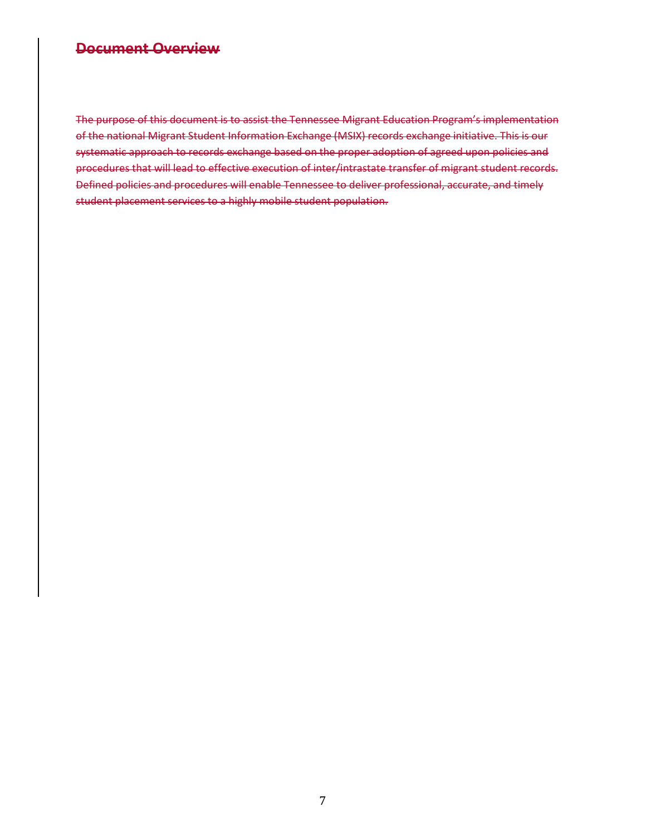# **Document Overview**

The purpose of this document is to assist the Tennessee Migrant Education Program's implementation of the national Migrant Student Information Exchange (MSIX) records exchange initiative. This is our systematic approach to records exchange based on the proper adoption of agreed upon policies and procedures that will lead to effective execution of inter/intrastate transfer of migrant student records. Defined policies and procedures will enable Tennessee to deliver professional, accurate, and timely student placement services to a highly mobile student population.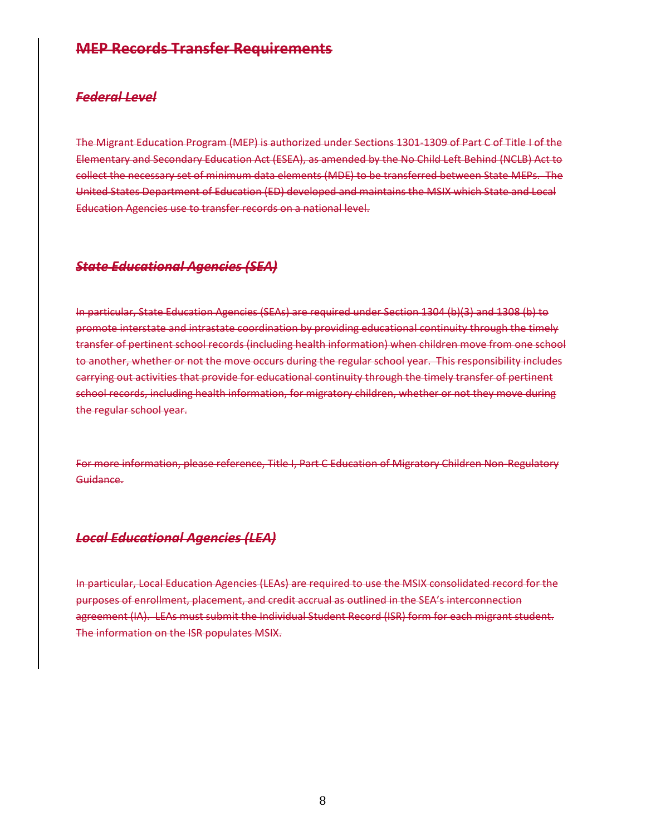# **MEP Records Transfer Requirements**

## *Federal Level*

The Migrant Education Program (MEP) is authorized under Sections 1301-1309 of Part C of Title I of the Elementary and Secondary Education Act (ESEA), as amended by the No Child Left Behind (NCLB) Act to collect the necessary set of minimum data elements (MDE) to be transferred between State MEPs. The United States Department of Education (ED) developed and maintains the MSIX which State and Local Education Agencies use to transfer records on a national level.

## *State Educational Agencies (SEA)*

In particular, State Education Agencies (SEAs) are required under Section 1304 (b)(3) and 1308 (b) to promote interstate and intrastate coordination by providing educational continuity through the timely transfer of pertinent school records (including health information) when children move from one school to another, whether or not the move occurs during the regular school year. This responsibility includes carrying out activities that provide for educational continuity through the timely transfer of pertinent school records, including health information, for migratory children, whether or not they move during the regular school year.

For more information, please reference, Title I, Part C Education of Migratory Children Non-Regulatory Guidance.

## *Local Educational Agencies (LEA)*

In particular, Local Education Agencies (LEAs) are required to use the MSIX consolidated record for the purposes of enrollment, placement, and credit accrual as outlined in the SEA's interconnection agreement (IA). LEAs must submit the Individual Student Record (ISR) form for each migrant student. The information on the ISR populates MSIX.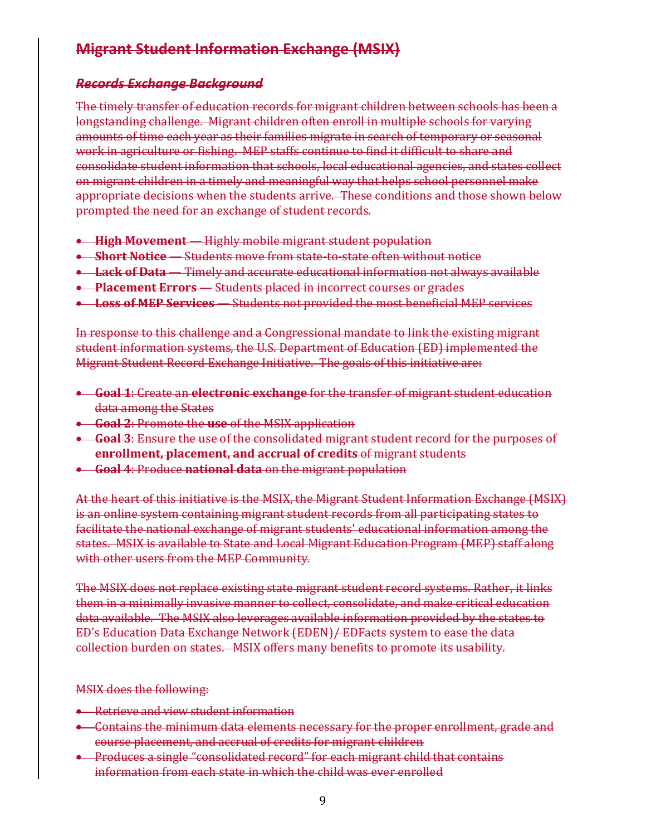# **Migrant Student Information Exchange (MSIX)**

# *Records Exchange Background*

The timely transfer of education records for migrant children between schools has been a longstanding challenge. Migrant children often enroll in multiple schools for varying amounts of time each year as their families migrate in search of temporary or seasonal work in agriculture or fishing. MEP staffs continue to find it difficult to share and consolidate student information that schools, local educational agencies, and states collect on migrant children in a timely and meaningful way that helps school personnel make appropriate decisions when the students arrive. These conditions and those shown below prompted the need for an exchange of student records.

- **High Movement** Highly mobile migrant student population
- **Short Notice** Students move from state-to-state often without notice
- **Lack of Data** Timely and accurate educational information not always available
- **Placement Errors** Students placed in incorrect courses or grades
- **Loss of MEP Services** Students not provided the most beneficial MEP services

In response to this challenge and a Congressional mandate to link the existing migrant student information systems, the U.S. Department of Education (ED) implemented the Migrant Student Record Exchange Initiative. The goals of this initiative are:

- **Goal 1**: Create an **electronic exchange** for the transfer of migrant student education data among the States
- **Goal 2**: Promote the **use** of the MSIX application
- **Goal 3**: Ensure the use of the consolidated migrant student record for the purposes of **enrollment, placement, and accrual of credits** of migrant students
- **Goal 4**: Produce **national data** on the migrant population

At the heart of this initiative is the MSIX, the Migrant Student Information Exchange (MSIX) is an online system containing migrant student records from all participating states to facilitate the national exchange of migrant students' educational information among the states. MSIX is available to State and Local Migrant Education Program (MEP) staff along with other users from the MEP Community.

The MSIX does not replace existing state migrant student record systems. Rather, it links them in a minimally invasive manner to collect, consolidate, and make critical education data available. The MSIX also leverages available information provided by the states to ED's Education Data Exchange Network (EDEN)/ EDFacts system to ease the data collection burden on states. MSIX offers many benefits to promote its usability.

MSIX does the following:

- Retrieve and view student information
- Contains the minimum data elements necessary for the proper enrollment, grade and course placement, and accrual of credits for migrant children
- **•** Produces a single "consolidated record" for each migrant child that contains information from each state in which the child was ever enrolled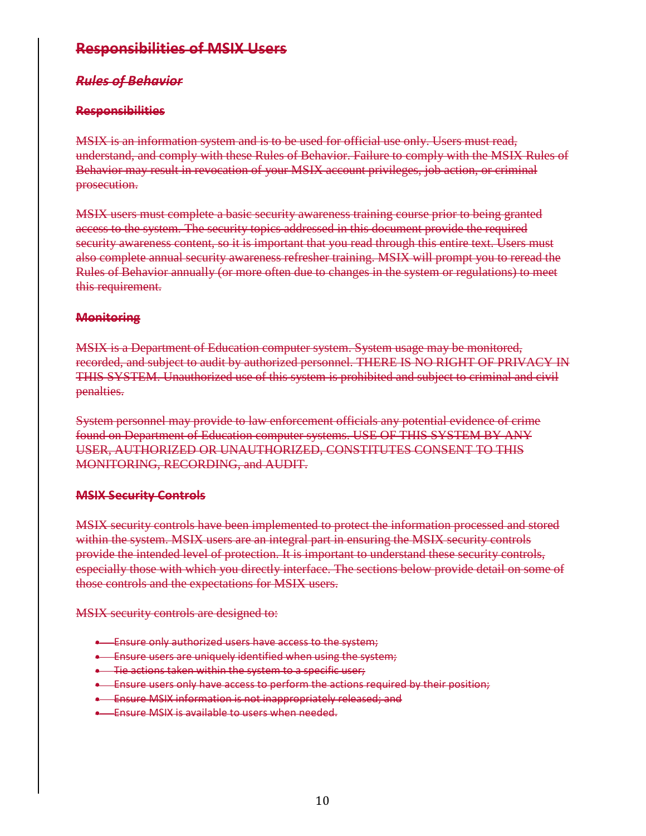# **Responsibilities of MSIX Users**

# *Rules of Behavior*

# **Responsibilities**

MSIX is an information system and is to be used for official use only. Users must read, understand, and comply with these Rules of Behavior. Failure to comply with the MSIX Rules of Behavior may result in revocation of your MSIX account privileges, job action, or criminal prosecution.

MSIX users must complete a basic security awareness training course prior to being granted access to the system. The security topics addressed in this document provide the required security awareness content, so it is important that you read through this entire text. Users must also complete annual security awareness refresher training. MSIX will prompt you to reread the Rules of Behavior annually (or more often due to changes in the system or regulations) to meet this requirement.

## **Monitoring**

MSIX is a Department of Education computer system. System usage may be monitored, recorded, and subject to audit by authorized personnel. THERE IS NO RIGHT OF PRIVACY IN THIS SYSTEM. Unauthorized use of this system is prohibited and subject to criminal and civil penalties.

System personnel may provide to law enforcement officials any potential evidence of crime found on Department of Education computer systems. USE OF THIS SYSTEM BY ANY USER, AUTHORIZED OR UNAUTHORIZED, CONSTITUTES CONSENT TO THIS MONITORING, RECORDING, and AUDIT.

## **MSIX Security Controls**

MSIX security controls have been implemented to protect the information processed and stored within the system. MSIX users are an integral part in ensuring the MSIX security controls provide the intended level of protection. It is important to understand these security controls, especially those with which you directly interface. The sections below provide detail on some of those controls and the expectations for MSIX users.

MSIX security controls are designed to:

- **Ensure only authorized users have access to the system;**
- **Ensure users are uniquely identified when using the system;**
- **Tie actions taken within the system to a specific user;**
- **Ensure users only have access to perform the actions required by their position;**
- **Ensure MSIX information is not inappropriately released; and**
- **Ensure MSIX is available to users when needed.**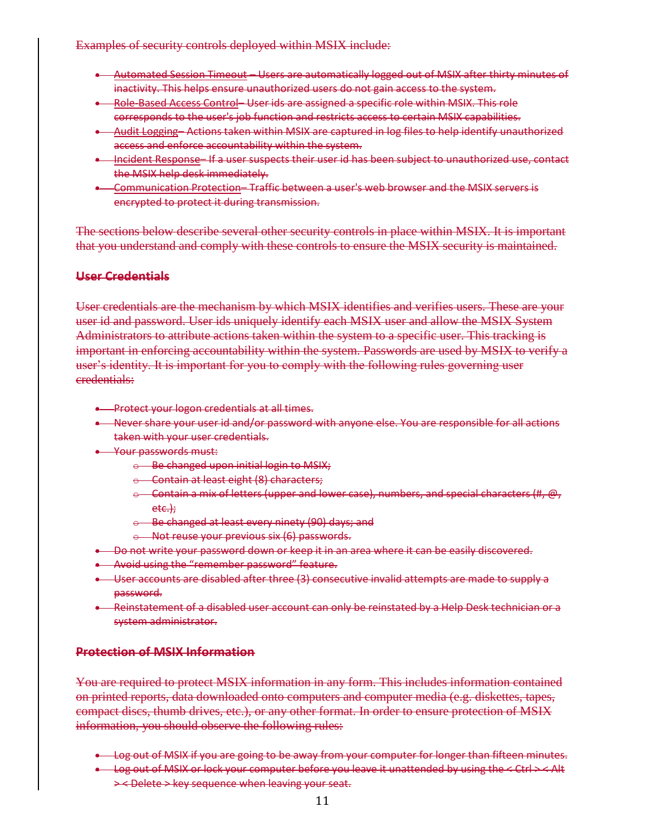#### Examples of security controls deployed within MSIX include:

- Automated Session Timeout Users are automatically logged out of MSIX after thirty minutes of inactivity. This helps ensure unauthorized users do not gain access to the system.
- **-** Role-Based Access Control- User ids are assigned a specific role within MSIX. This role corresponds to the user's job function and restricts access to certain MSIX capabilities.
- Audit Logging– Actions taken within MSIX are captured in log files to help identify unauthorized access and enforce accountability within the system.
- Incident Response– If a user suspects their user id has been subject to unauthorized use, contact the MSIX help desk immediately.
- Communication Protection– Traffic between a user's web browser and the MSIX servers is encrypted to protect it during transmission.

The sections below describe several other security controls in place within MSIX. It is important that you understand and comply with these controls to ensure the MSIX security is maintained.

#### **User Credentials**

User credentials are the mechanism by which MSIX identifies and verifies users. These are your user id and password. User ids uniquely identify each MSIX user and allow the MSIX System Administrators to attribute actions taken within the system to a specific user. This tracking is important in enforcing accountability within the system. Passwords are used by MSIX to verify a user's identity. It is important for you to comply with the following rules governing user credentials:

- **•** Protect your logon credentials at all times.
- Never share your user id and/or password with anyone else. You are responsible for all actions taken with your user credentials.
- **Way Your passwords must:** 
	- o Be changed upon initial login to MSIX;
	- $\leftrightarrow$  Contain at least eight (8) characters;
	- $\circ$  Contain a mix of letters (upper and lower case), numbers, and special characters (#, @, etc.);
	- o Be changed at least every ninety (90) days; and
	- o Not reuse your previous six (6) passwords.
- **Do not write your password down or keep it in an area where it can be easily discovered.**
- Avoid using the "remember password" feature.
- User accounts are disabled after three (3) consecutive invalid attempts are made to supply a password.
- Reinstatement of a disabled user account can only be reinstated by a Help Desk technician or a system administrator.

#### **Protection of MSIX Information**

You are required to protect MSIX information in any form. This includes information contained on printed reports, data downloaded onto computers and computer media (e.g. diskettes, tapes, compact discs, thumb drives, etc.), or any other format. In order to ensure protection of MSIX information, you should observe the following rules:

- **Log out of MSIX if you are going to be away from your computer for longer than fifteen minutes.**
- $\longrightarrow$  Log out of MSIX or lock your computer before you leave it unattended by using the  $\leq$  Ctrl  $\geq$   $\leq$  Alt ><Delete>key sequence when leaving your seat.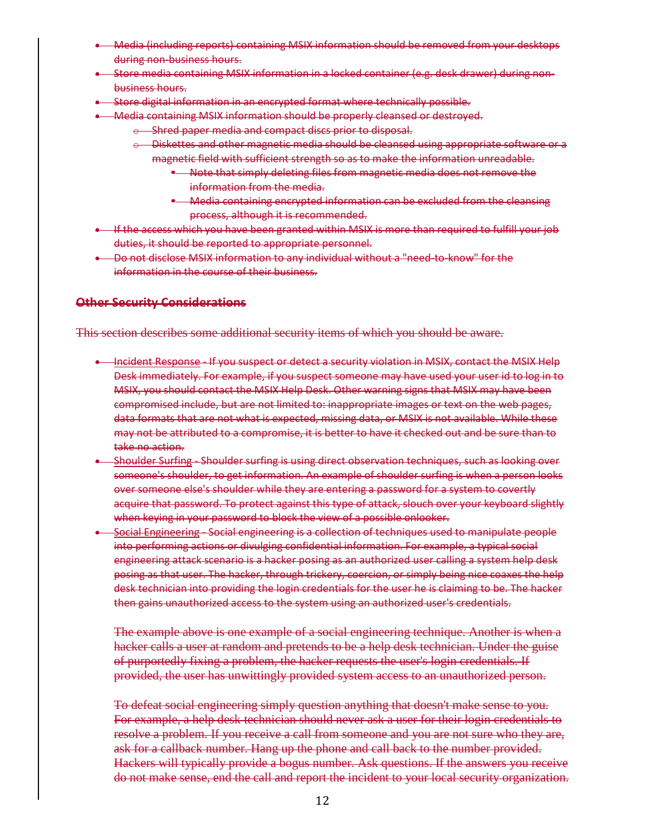- Media (including reports) containing MSIX information should be removed from your desktops during non-business hours.
- Store media containing MSIX information in a locked container (e.g. desk drawer) during nonbusiness hours.
- Store digital information in an encrypted format where technically possible.
- **Media containing MSIX information should be properly cleansed or destroyed.** 
	- $\circ$  Shred paper media and compact discs prior to disposal.
	- o Diskettes and other magnetic media should be cleansed using appropriate software or a magnetic field with sufficient strength so as to make the information unreadable.
		- \* Note that simply deleting files from magnetic media does not remove the information from the media.
		- **-** Media containing encrypted information can be excluded from the cleansing process, although it is recommended.
- If the access which you have been granted within MSIX is more than required to fulfill your job duties, it should be reported to appropriate personnel.
- Do not disclose MSIX information to any individual without a "need-to-know" for the information in the course of their business.

#### **Other Security Considerations**

This section describes some additional security items of which you should be aware.

- Incident Response If you suspect or detect a security violation in MSIX, contact the MSIX Help Desk immediately. For example, if you suspect someone may have used your user id to log in to MSIX, you should contact the MSIX Help Desk. Other warning signs that MSIX may have been compromised include, but are not limited to: inappropriate images or text on the web pages, data formats that are not what is expected, missing data, or MSIX is not available. While these may not be attributed to a compromise, it is better to have it checked out and be sure than to take no action.
- Shoulder Surfing Shoulder surfing is using direct observation techniques, such as looking over someone's shoulder, to get information. An example of shoulder surfing is when a person looks over someone else's shoulder while they are entering a password for a system to covertly acquire that password. To protect against this type of attack, slouch over your keyboard slightly when keying in your password to block the view of a possible onlooker.
- Social Engineering Social engineering is a collection of techniques used to manipulate people into performing actions or divulging confidential information. For example, a typical social engineering attack scenario is a hacker posing as an authorized user calling a system help desk posing as that user. The hacker, through trickery, coercion, or simply being nice coaxes the help desk technician into providing the login credentials for the user he is claiming to be. The hacker then gains unauthorized access to the system using an authorized user's credentials.

The example above is one example of a social engineering technique. Another is when a hacker calls a user at random and pretends to be a help desk technician. Under the guise of purportedly fixing a problem, the hacker requests the user's login credentials. If provided, the user has unwittingly provided system access to an unauthorized person.

To defeat social engineering simply question anything that doesn't make sense to you. For example, a help desk technician should never ask a user for their login credentials to resolve a problem. If you receive a call from someone and you are not sure who they are, ask for a callback number. Hang up the phone and call back to the number provided. Hackers will typically provide a bogus number. Ask questions. If the answers you receive do not make sense, end the call and report the incident to your local security organization.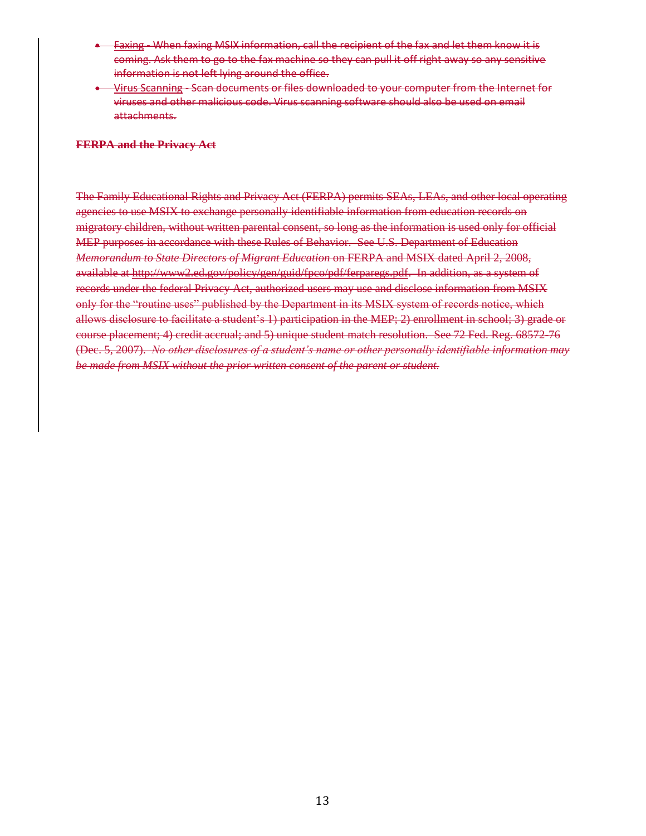- Faxing When faxing MSIX information, call the recipient of the fax and let them know it is coming. Ask them to go to the fax machine so they can pull it off right away so any sensitive information is not left lying around the office.
- Virus Scanning Scan documents or files downloaded to your computer from the Internet for viruses and other malicious code. Virus scanning software should also be used on email attachments.

#### **FERPA and the Privacy Act**

The Family Educational Rights and Privacy Act (FERPA) permits SEAs, LEAs, and other local operating agencies to use MSIX to exchange personally identifiable information from education records on migratory children, without written parental consent, so long as the information is used only for official MEP purposes in accordance with these Rules of Behavior. See U.S. Department of Education *Memorandum to State Directors of Migrant Education* on FERPA and MSIX dated April 2, 2008, available at http://www2.ed.gov/policy/gen/guid/fpco/pdf/ferparegs.pdf. In addition, as a system of records under the federal Privacy Act, authorized users may use and disclose information from MSIX only for the "routine uses" published by the Department in its MSIX system of records notice, which allows disclosure to facilitate a student's 1) participation in the MEP; 2) enrollment in school; 3) grade or course placement; 4) credit accrual; and 5) unique student match resolution. See 72 Fed. Reg. 68572-76 (Dec. 5, 2007). *No other disclosures of a student's name or other personally identifiable information may be made from MSIX without the prior written consent of the parent or student.*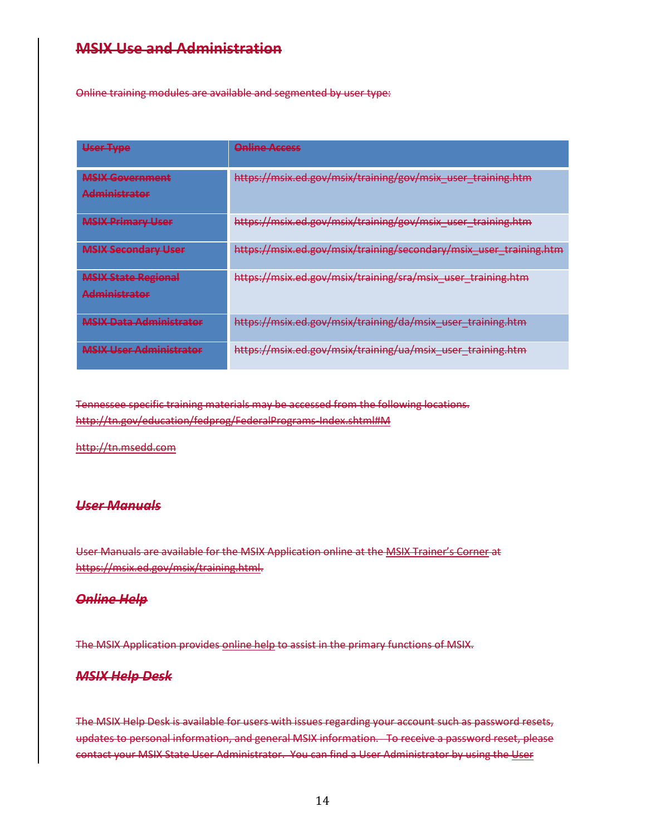# **MSIX Use and Administration**

Online training modules are available and segmented by user type:

| <b>User Type</b>                                                                                                                                                                                            | <b>Online Access</b>                                               |
|-------------------------------------------------------------------------------------------------------------------------------------------------------------------------------------------------------------|--------------------------------------------------------------------|
| <b>MCIV Covernment</b><br><b>MERITA STRANGE IN BELLEVILLE</b><br><b>Adminictrator</b><br>at the contract of the contract of the contract of the contract of the contract of the contract of the contract of | https://msix.ed.gov/msix/training/gov/msix_user_training.htm       |
| <b>MCIV Drimary Llcor</b><br><b>MOIA Fillmary OSCI</b>                                                                                                                                                      | https://msix.ed.gov/msix/training/gov/msix_user_training.htm       |
| <b>MSIX Secondary User</b>                                                                                                                                                                                  | https://msix.ed.gov/msix/training/secondary/msix_user_training.htm |
| MCIV State Regional<br><del>MISIA State Regional</del><br><b>Adminictrator</b><br><b>MASS REPORT CATES AND LES</b>                                                                                          | https://msix.ed.gov/msix/training/sra/msix_user_training.htm       |
| <b>MSIX Data Administrator</b>                                                                                                                                                                              | https://msix.ed.gov/msix/training/da/msix_user_training.htm        |
| <b>MCIV Llcar Adminictrator</b><br>  A A C'H FANN "A' A' THE AN 'A I BH I BH I CHA 'A 'A 'A' A I                                                                                                            | https://msix.ed.gov/msix/training/ua/msix_user_training.htm        |

Tennessee specific training materials may be accessed from the following locations. http://tn.gov/education/fedprog/FederalPrograms-Index.shtml#M

http://tn.msedd.com

## *User Manuals*

User Manuals are available for the MSIX Application online at the MSIX Trainer's Corner at https://msix.ed.gov/msix/training.html.

#### *Online Help*

The MSIX Application provides online help to assist in the primary functions of MSIX.

## *MSIX Help Desk*

The MSIX Help Desk is available for users with issues regarding your account such as password resets, updates to personal information, and general MSIX information. To receive a password reset, please contact your MSIX State User Administrator. You can find a User Administrator by using the User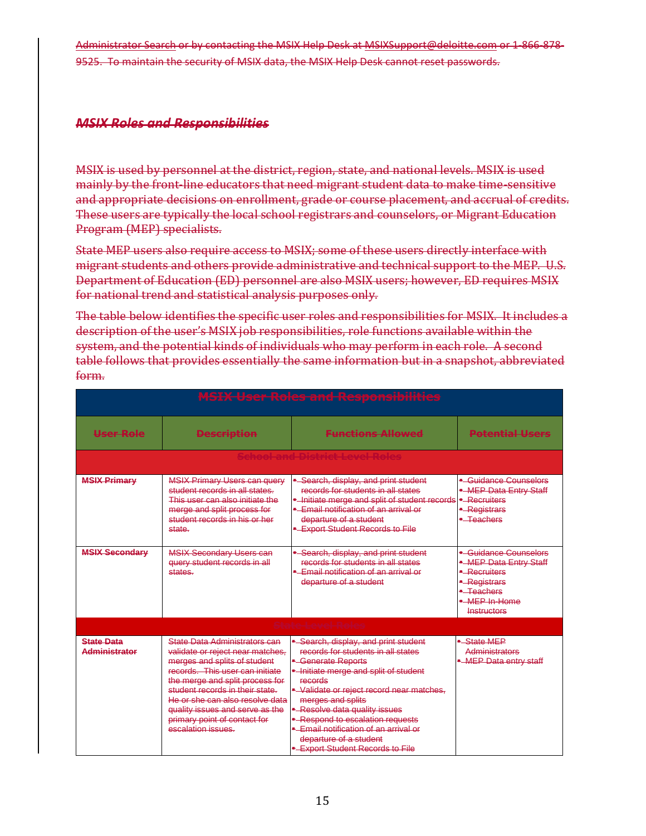Administrator Search or by contacting the MSIX Help Desk at MSIXSupport@deloitte.com or 1-866-878- 9525. To maintain the security of MSIX data, the MSIX Help Desk cannot reset passwords.

# *MSIX Roles and Responsibilities*

MSIX is used by personnel at the district, region, state, and national levels. MSIX is used mainly by the front-line educators that need migrant student data to make time-sensitive and appropriate decisions on enrollment, grade or course placement, and accrual of credits. These users are typically the local school registrars and counselors, or Migrant Education Program (MEP) specialists.

State MEP users also require access to MSIX; some of these users directly interface with migrant students and others provide administrative and technical support to the MEP. U.S. Department of Education (ED) personnel are also MSIX users; however, ED requires MSIX for national trend and statistical analysis purposes only.

The table below identifies the specific user roles and responsibilities for MSIX. It includes a description of the user's MSIX job responsibilities, role functions available within the system, and the potential kinds of individuals who may perform in each role. A second table follows that provides essentially the same information but in a snapshot, abbreviated form.

| <b>MSIX User Roles and Responsibilities</b> |                                                                                                                                                                                                                                                                                                                                       |                                                                                                                                                                                                                                                                                                                                                                                                   |                                                                                                                              |  |  |
|---------------------------------------------|---------------------------------------------------------------------------------------------------------------------------------------------------------------------------------------------------------------------------------------------------------------------------------------------------------------------------------------|---------------------------------------------------------------------------------------------------------------------------------------------------------------------------------------------------------------------------------------------------------------------------------------------------------------------------------------------------------------------------------------------------|------------------------------------------------------------------------------------------------------------------------------|--|--|
| User Role                                   | <b>Description</b>                                                                                                                                                                                                                                                                                                                    | <del>Functions Allowed</del>                                                                                                                                                                                                                                                                                                                                                                      | P <del>otential Users</del>                                                                                                  |  |  |
|                                             |                                                                                                                                                                                                                                                                                                                                       | <del>chool and District Level Rc</del>                                                                                                                                                                                                                                                                                                                                                            |                                                                                                                              |  |  |
| <b>MSIX Primary</b>                         | <b>MSIX Primary Users can query</b><br>student records in all states.<br>This user can also initiate the<br>merge and split process for<br>student records in his or her<br>state.                                                                                                                                                    | - Search, display, and print student<br>records for students in all states<br>. Initiate merge and split of student records<br>- Email notification of an arrival or<br>departure of a student<br>-Export Student Records to File                                                                                                                                                                 | • Guidance Counselors<br>-MEP Data Entry Staff<br>- Recruiters<br>- Registrars<br>$-T eachers$                               |  |  |
| <b>MSIX Secondary</b>                       | <b>MSIX Secondary Users can</b><br>query student records in all<br>states.                                                                                                                                                                                                                                                            | - Search, display, and print student<br>records for students in all states<br>- Email notification of an arrival or<br>departure of a student                                                                                                                                                                                                                                                     | - Guidance Counselors<br>-MEP Data Entry Staff<br>- Recruiters<br>- Registrars<br>• Teachers<br>• MEP In-Home<br>Instructors |  |  |
|                                             |                                                                                                                                                                                                                                                                                                                                       | <del>State Level Rol</del> e                                                                                                                                                                                                                                                                                                                                                                      |                                                                                                                              |  |  |
| <b>State Data</b><br><b>Administrator</b>   | State Data Administrators can<br>validate or reject near matches.<br>merges and splits of student<br>records. This user can initiate<br>the merge and split process for<br>student records in their state.<br>He or she can also resolve data<br>quality issues and serve as the<br>primary point of contact for<br>escalation issues | • Search, display, and print student<br>records for students in all states<br>- Generate Reports<br>- Initiate merge and split of student<br>records<br>- Validate or reject record near matches,<br>merges and splits<br>- Resolve data quality issues<br>- Respond to escalation requests<br>• Email notification of an arrival or<br>departure of a student<br>-Export Student Records to File | - State MFP<br>Administrators<br>- MEP Data entry staff                                                                      |  |  |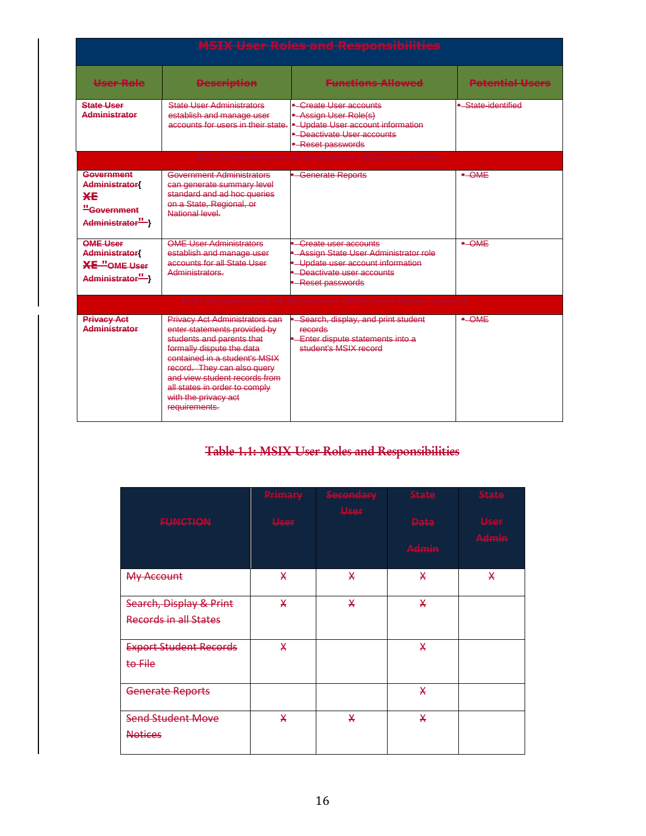|                                                                                    |                                                                                                                                                                                                                                                                                                            | <b>MSIX User Roles and Responsibilities</b>                                                                                                                   |                        |
|------------------------------------------------------------------------------------|------------------------------------------------------------------------------------------------------------------------------------------------------------------------------------------------------------------------------------------------------------------------------------------------------------|---------------------------------------------------------------------------------------------------------------------------------------------------------------|------------------------|
| <b>User Role</b>                                                                   | <b>Bescription</b>                                                                                                                                                                                                                                                                                         | <b>Functions Allowed</b>                                                                                                                                      | <b>Potential Users</b> |
| <b>State User</b><br>Administrator                                                 | <b>State User Administrators</b><br>establish and manage user<br>accounts for users in their state.                                                                                                                                                                                                        | - Create User accounts<br>- Assign User Role(s)<br>- Update User account information<br>• Deactivate User accounts<br>- Reset passwords                       | - State-identified     |
|                                                                                    |                                                                                                                                                                                                                                                                                                            |                                                                                                                                                               |                        |
| Government<br><b>Administrator</b><br><b>XE</b><br>"Government<br>Administrator"-> | <b>Government Administrators</b><br>can generate summary level<br>standard and ad hoc queries<br>on a State, Regional, or<br>National level                                                                                                                                                                | - Generate Reports                                                                                                                                            | $\bullet$ OME          |
| <b>OME User</b><br><b>Administrator</b><br>$XE$ "OME User<br>Administrator"-1      | <b>OME User Administrators</b><br>establish and manage user<br>accounts for all State User<br>Administrators                                                                                                                                                                                               | <b>Create user accounts</b><br>- Assign State User Administrator role<br>- Update user account information<br>- Deactivate user accounts<br>- Reset passwords | $\bullet$ OME          |
|                                                                                    |                                                                                                                                                                                                                                                                                                            |                                                                                                                                                               |                        |
| <b>Privacy Act</b><br><b>Administrator</b>                                         | <b>Privacy Act Administrators can</b><br>enter statements provided by<br>students and parents that<br>formally dispute the data<br>contained in a student's MSIX<br>record. They can also query<br>and view student records from<br>all states in order to comply<br>with the privacy act<br>requirements. | Search, display, and print student<br>records<br><b>Enter dispute statements into a</b><br>student's MSIX record                                              | $\bullet$ -OME         |

# **Table 1.1: MSIX User Roles and Responsibilities**

|                                                         | Primary     | Secondary | <b>State</b>         | <b>State</b>         |
|---------------------------------------------------------|-------------|-----------|----------------------|----------------------|
| <b>FUNCTION</b>                                         | <b>User</b> | User      | <b>Data</b><br>Admin | <b>User</b><br>Admin |
| <b>My Account</b>                                       | X           | X         | X                    | X                    |
| Search, Display & Print<br><b>Records in all States</b> | X           | X         | X                    |                      |
| <b>Export Student Records</b><br>to File                | X           |           | X                    |                      |
| <b>Generate Reports</b>                                 |             |           | X                    |                      |
| <b>Send Student Move</b><br><b>Notices</b>              | X           | X         | X                    |                      |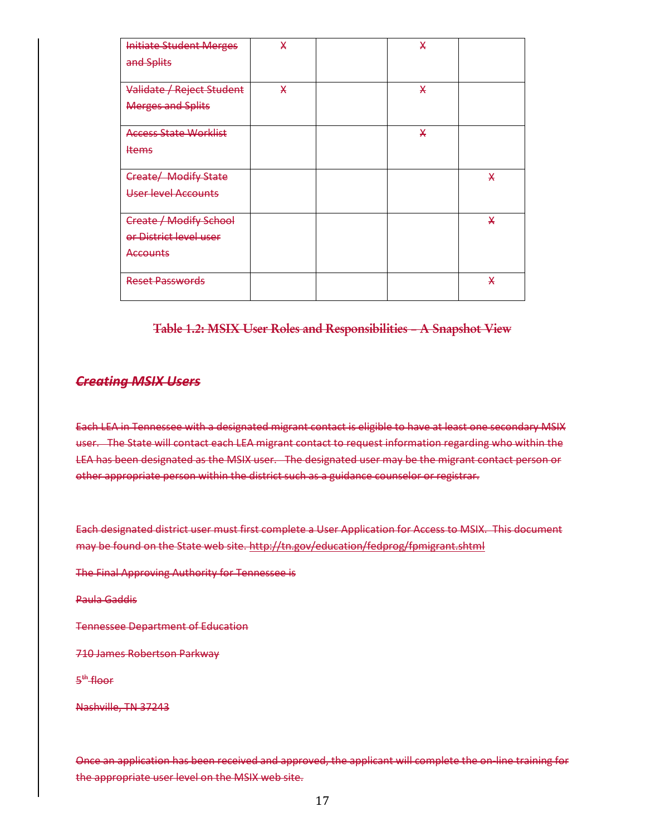| <b>Initiate Student Merges</b><br>and Splits | X | X |   |
|----------------------------------------------|---|---|---|
| Validate / Reject Student                    | X | X |   |
| <b>Merges and Splits</b>                     |   |   |   |
| <b>Access State Worklist</b>                 |   | X |   |
| <b>Items</b>                                 |   |   |   |
|                                              |   |   |   |
| Create/ Modify State                         |   |   | X |
| <b>User level Accounts</b>                   |   |   |   |
|                                              |   |   |   |
| <b>Create / Modify School</b>                |   |   | X |
| or District level user                       |   |   |   |
| <b>Accounts</b>                              |   |   |   |
| Reset Passwords                              |   |   | X |

#### **Table 1.2: MSIX User Roles and Responsibilities – A Snapshot View**

# *Creating MSIX Users*

Each LEA in Tennessee with a designated migrant contact is eligible to have at least one secondary MSIX user. The State will contact each LEA migrant contact to request information regarding who within the LEA has been designated as the MSIX user. The designated user may be the migrant contact person or other appropriate person within the district such as a guidance counselor or registrar.

Each designated district user must first complete a User Application for Access to MSIX. This document may be found on the State web site. http://tn.gov/education/fedprog/fpmigrant.shtml

The Final Approving Authority for Tennessee is

Paula Gaddis

Tennessee Department of Education

710 James Robertson Parkway

5<sup>#</sup> floor

Nashville, TN 37243

Once an application has been received and approved, the applicant will complete the on-line training for the appropriate user level on the MSIX web site.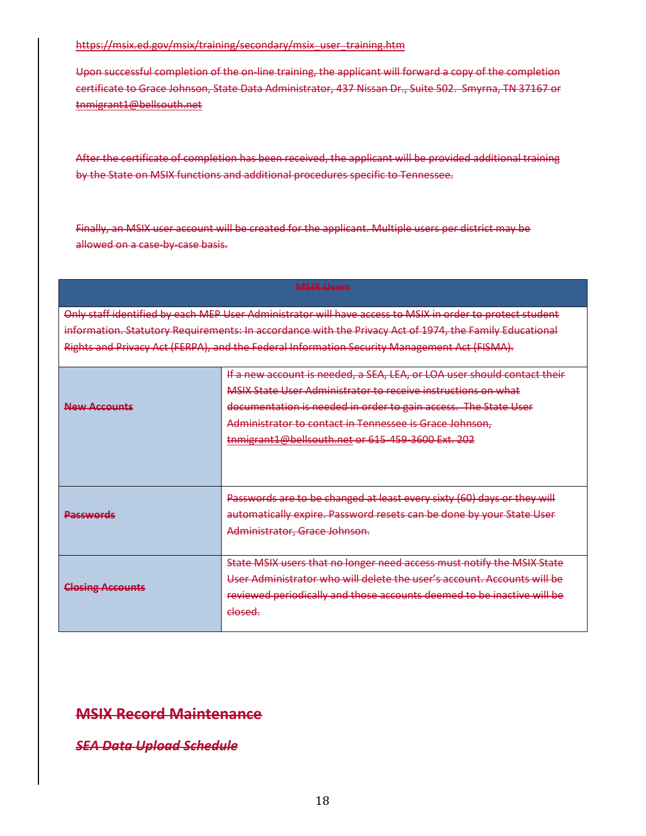#### https://msix.ed.gov/msix/training/secondary/msix\_user\_training.htm

Upon successful completion of the on-line training, the applicant will forward a copy of the completion certificate to Grace Johnson, State Data Administrator, 437 Nissan Dr., Suite 502. Smyrna, TN 37167 or tnmigrant1@bellsouth.net

After the certificate of completion has been received, the applicant will be provided additional training by the State on MSIX functions and additional procedures specific to Tennessee.

Finally, an MSIX user account will be created for the applicant. Multiple users per district may be allowed on a case-by-case basis.

#### **MSIX Users**

Only staff identified by each MEP User Administrator will have access to MSIX in order to protect student information. Statutory Requirements: In accordance with the Privacy Act of 1974, the Family Educational Rights and Privacy Act (FERPA), and the Federal Information Security Management Act (FISMA).

| <b>New Accounts</b>     | If a new account is needed, a SEA, LEA, or LOA user should contact their<br>MSIX State User Administrator to receive instructions on what<br>documentation is needed in order to gain access. The State User<br>Administrator to contact in Tennessee is Grace Johnson,<br>tnmigrant1@bellsouth.net or 615-459-3600 Ext. 202 |
|-------------------------|------------------------------------------------------------------------------------------------------------------------------------------------------------------------------------------------------------------------------------------------------------------------------------------------------------------------------|
| <del>Passwords</del>    | Passwords are to be changed at least every sixty (60) days or they will<br>automatically expire. Password resets can be done by your State User<br>Administrator, Grace Johnson.                                                                                                                                             |
| <b>Closing Accounts</b> | State MSIX users that no longer need access must notify the MSIX State<br>User Administrator who will delete the user's account. Accounts will be<br>reviewed periodically and those accounts deemed to be inactive will be<br><del>closed.</del>                                                                            |

# **MSIX Record Maintenance**

*SEA Data Upload Schedule*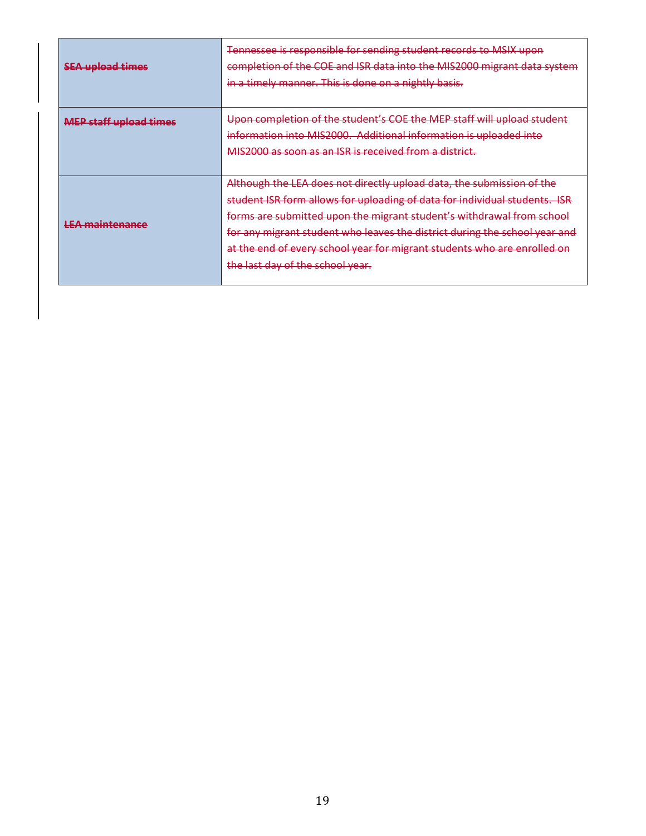| <b>CEA</b> unload timos<br><del>əza upiyau umics</del>    | Tennessee is responsible for sending student records to MSIX upon<br>completion of the COE and ISR data into the MIS2000 migrant data system<br>in a timely manner. This is done on a nightly basis. |  |  |  |  |  |
|-----------------------------------------------------------|------------------------------------------------------------------------------------------------------------------------------------------------------------------------------------------------------|--|--|--|--|--|
| MED staff unload times<br><u>ыны алан мурам аннес</u>     | Upon completion of the student's COE the MEP staff will upload student                                                                                                                               |  |  |  |  |  |
|                                                           | information into MIS2000. Additional information is uploaded into                                                                                                                                    |  |  |  |  |  |
|                                                           | MIS2000 as soon as an ISR is received from a district.                                                                                                                                               |  |  |  |  |  |
|                                                           |                                                                                                                                                                                                      |  |  |  |  |  |
|                                                           | Although the LEA does not directly upload data, the submission of the                                                                                                                                |  |  |  |  |  |
|                                                           | student ISR form allows for uploading of data for individual students. ISR                                                                                                                           |  |  |  |  |  |
|                                                           | forms are submitted upon the migrant student's withdrawal from school                                                                                                                                |  |  |  |  |  |
| <b>IFA</b> maintanance<br>コ マニ 東京 (人) (人) (人) スマークリント・コース | for any migrant student who leaves the district during the school year and                                                                                                                           |  |  |  |  |  |
|                                                           | at the end of every school year for migrant students who are enrolled on                                                                                                                             |  |  |  |  |  |
|                                                           | the last day of the school year.                                                                                                                                                                     |  |  |  |  |  |
|                                                           |                                                                                                                                                                                                      |  |  |  |  |  |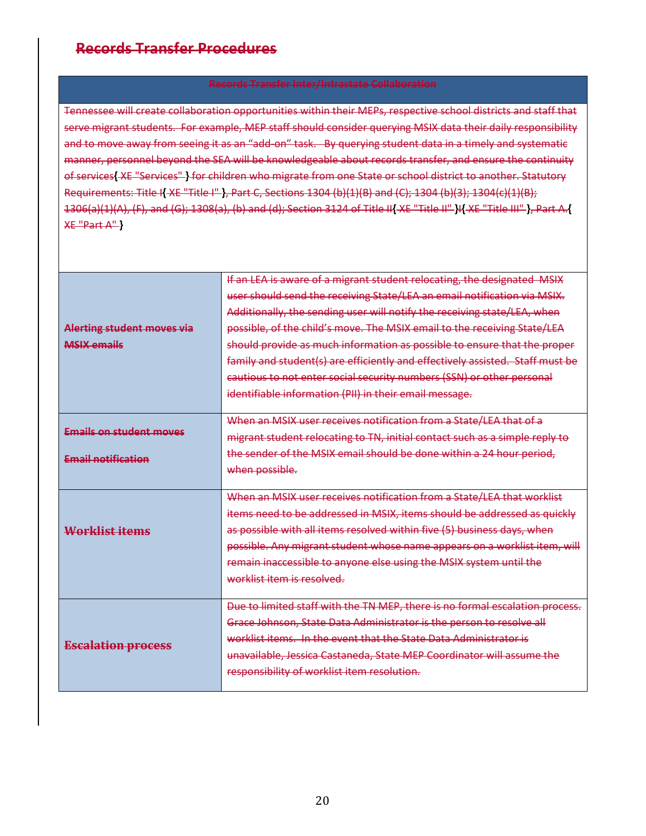# **Records Transfer Procedures**

Tennessee will create collaboration opportunities within their MEPs, respective school districts and staff that serve migrant students. For example, MEP staff should consider querying MSIX data their daily responsibility and to move away from seeing it as an "add-on" task. By querying student data in a timely and systematic manner, personnel beyond the SEA will be knowledgeable about records transfer, and ensure the continuity of services**{** XE "Services" **}** for children who migrate from one State or school district to another. Statutory Requirements: Title I**{** XE "Title I" **}**, Part C, Sections 1304 (b)(1)(B) and (C); 1304 (b)(3); 1304(c)(1)(B); 1306(a)(1)(A), (F), and (G); 1308(a), (b) and (d); Section 3124 of Title II**{** XE "Title II" **}**I**{** XE "Title III" **}**, Part A.**{** XE "Part A" **}**

|                                | If an LEA is aware of a migrant student relocating, the designated MSIX       |
|--------------------------------|-------------------------------------------------------------------------------|
|                                | user should send the receiving State/LEA an email notification via MSIX.      |
|                                | Additionally, the sending user will notify the receiving state/LEA, when      |
| Alerting student moves via     | possible, of the child's move. The MSIX email to the receiving State/LEA      |
| MSIX emails                    | should provide as much information as possible to ensure that the proper      |
|                                | family and student(s) are efficiently and effectively assisted. Staff must be |
|                                | cautious to not enter social security numbers (SSN) or other personal         |
|                                | identifiable information (PII) in their email message.                        |
|                                |                                                                               |
| <b>Emails on student moves</b> | When an MSIX user receives notification from a State/LEA that of a            |
|                                | migrant student relocating to TN, initial contact such as a simple reply to   |
| <b>Email notification</b>      | the sender of the MSIX email should be done within a 24 hour period.          |
|                                | when possible.                                                                |
|                                |                                                                               |
|                                | When an MSIX user receives notification from a State/LEA that worklist        |
|                                | items need to be addressed in MSIX, items should be addressed as quickly      |
| Worklist items                 | as possible with all items resolved within five (5) business days, when       |
|                                | possible. Any migrant student whose name appears on a worklist item, will     |
|                                | remain inaccessible to anyone else using the MSIX system until the            |
|                                | worklist item is resolved.                                                    |
|                                |                                                                               |
|                                | Due to limited staff with the TN MEP, there is no formal escalation process.  |
|                                | Grace Johnson, State Data Administrator is the person to resolve all          |
| <b>Escalation process</b>      | worklist items. In the event that the State Data Administrator is             |
|                                | unavailable, Jessica Castaneda, State MEP Coordinator will assume the         |
|                                | responsibility of worklist item resolution.                                   |
|                                |                                                                               |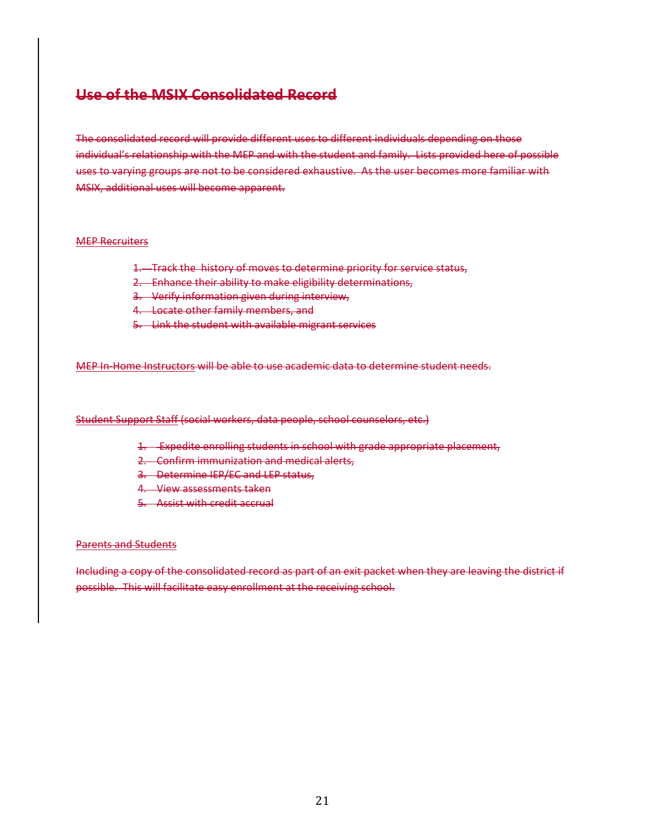# **Use of the MSIX Consolidated Record**

The consolidated record will provide different uses to different individuals depending on those individual's relationship with the MEP and with the student and family. Lists provided here of possible uses to varying groups are not to be considered exhaustive. As the user becomes more familiar with MSIX, additional uses will become apparent.

#### MEP Recruiters

- 1. Track the history of moves to determine priority for service status,
- 2. Enhance their ability to make eligibility determinations,
- 3. Verify information given during interview,
- 4. Locate other family members, and
- 5. Link the student with available migrant services

MEP In-Home Instructors will be able to use academic data to determine student needs.

#### Student Support Staff (social workers, data people, school counselors, etc.)

- 1. Expedite enrolling students in school with grade appropriate placement,
- 2. Confirm immunization and medical alerts,
- 3. Determine IEP/EC and LEP status,
- 4. View assessments taken
- 5. Assist with credit accrual

#### Parents and Students

Including a copy of the consolidated record as part of an exit packet when they are leaving the district if possible. This will facilitate easy enrollment at the receiving school.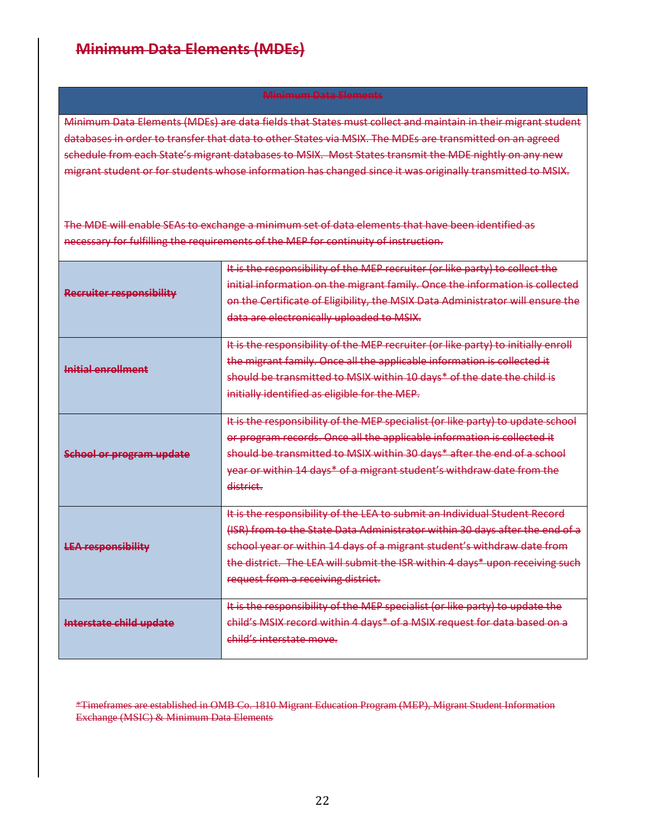# **Minimum Data Elements (MDEs)**

#### **Minimum Data Elements**

Minimum Data Elements (MDEs) are data fields that States must collect and maintain in their migrant student databases in order to transfer that data to other States via MSIX. The MDEs are transmitted on an agreed schedule from each State's migrant databases to MSIX. Most States transmit the MDE nightly on any new migrant student or for students whose information has changed since it was originally transmitted to MSIX.

The MDE will enable SEAs to exchange a minimum set of data elements that have been identified as necessary for fulfilling the requirements of the MEP for continuity of instruction.

| Recruiter responsibility        | It is the responsibility of the MEP recruiter (or like party) to collect the<br>initial information on the migrant family. Once the information is collected<br>on the Certificate of Eligibility, the MSIX Data Administrator will ensure the<br>data are electronically uploaded to MSIX.                                                                 |
|---------------------------------|-------------------------------------------------------------------------------------------------------------------------------------------------------------------------------------------------------------------------------------------------------------------------------------------------------------------------------------------------------------|
| Initial enrollment              | It is the responsibility of the MEP recruiter (or like party) to initially enroll<br>the migrant family. Once all the applicable information is collected it<br>should be transmitted to MSIX within 10 days* of the date the child is<br>initially identified as eligible for the MEP.                                                                     |
| <b>School or program update</b> | It is the responsibility of the MEP specialist (or like party) to update school<br>or program records. Once all the applicable information is collected it<br>should be transmitted to MSIX within 30 days* after the end of a school<br>year or within 14 days* of a migrant student's withdraw date from the<br>district.                                 |
| <b>LEA responsibility</b>       | It is the responsibility of the LEA to submit an Individual Student Record<br>(ISR) from to the State Data Administrator within 30 days after the end of a<br>school year or within 14 days of a migrant student's withdraw date from<br>the district. The LEA will submit the ISR within 4 days* upon receiving such<br>request from a receiving district. |
| Interstate child update         | It is the responsibility of the MEP specialist (or like party) to update the<br>child's MSIX record within 4 days* of a MSIX request for data based on a<br>child's interstate move.                                                                                                                                                                        |

\*Timeframes are established in OMB Co. 1810 Migrant Education Program (MEP), Migrant Student Information Exchange (MSIC) & Minimum Data Elements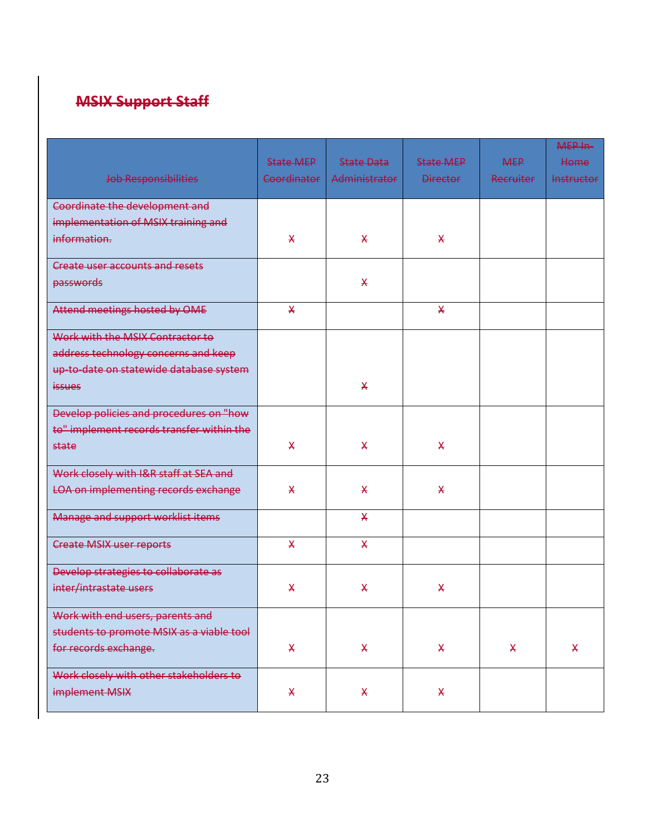# **MSIX Support Staff**

| Job Responsibilities                        | <b>State MEP</b><br>Coordinator | <b>State Data</b><br>Administrator | <b>State MEP</b><br><b>Director</b> | <b>MEP</b><br><b>Recruiter</b> | MEP In-<br>Home<br><b>Instructor</b> |
|---------------------------------------------|---------------------------------|------------------------------------|-------------------------------------|--------------------------------|--------------------------------------|
| Coordinate the development and              |                                 |                                    |                                     |                                |                                      |
| implementation of MSIX training and         |                                 |                                    |                                     |                                |                                      |
| information.                                | $\mathsf{\mathsf{X}}$           | X                                  | $\mathsf{\mathsf{X}}$               |                                |                                      |
| <b>Create user accounts and resets</b>      |                                 |                                    |                                     |                                |                                      |
| passwords                                   |                                 | $\star$                            |                                     |                                |                                      |
| Attend meetings hosted by OME               | $\mathsf{X}$                    |                                    | X                                   |                                |                                      |
| Work with the MSIX Contractor to            |                                 |                                    |                                     |                                |                                      |
| address technology concerns and keep        |                                 |                                    |                                     |                                |                                      |
| up-to-date on statewide database system     |                                 |                                    |                                     |                                |                                      |
| <i>issues</i>                               |                                 | $\star$                            |                                     |                                |                                      |
| Develop policies and procedures on "how     |                                 |                                    |                                     |                                |                                      |
| to" implement records transfer within the   |                                 |                                    |                                     |                                |                                      |
| state                                       | $\mathsf{\chi}$                 | X                                  | $\mathsf{\mathsf{X}}$               |                                |                                      |
| Work closely with I&R staff at SEA and      |                                 |                                    |                                     |                                |                                      |
| <b>LOA on implementing records exchange</b> | $\mathsf{\mathsf{X}}$           | $\star$                            | $\star$                             |                                |                                      |
| Manage and support worklist items           |                                 | $\star$                            |                                     |                                |                                      |
| <b>Create MSIX user reports</b>             | $\overline{\mathsf{X}}$         | $\overline{\mathsf{X}}$            |                                     |                                |                                      |
| Develop strategies to collaborate as        |                                 |                                    |                                     |                                |                                      |
| inter/intrastate users                      | X                               | $\mathsf{\mathsf{X}}$              | $\mathsf{X}$                        |                                |                                      |
| Work with end users, parents and            |                                 |                                    |                                     |                                |                                      |
| students to promote MSIX as a viable tool   |                                 |                                    |                                     |                                |                                      |
| for records exchange.                       | X.                              | $\mathsf{X}$                       | X.                                  | X.                             | X.                                   |
| Work closely with other stakeholders to     |                                 |                                    |                                     |                                |                                      |
| implement MSIX                              | $\mathsf{x}$                    | X                                  | $\boldsymbol{\mathsf{X}}$           |                                |                                      |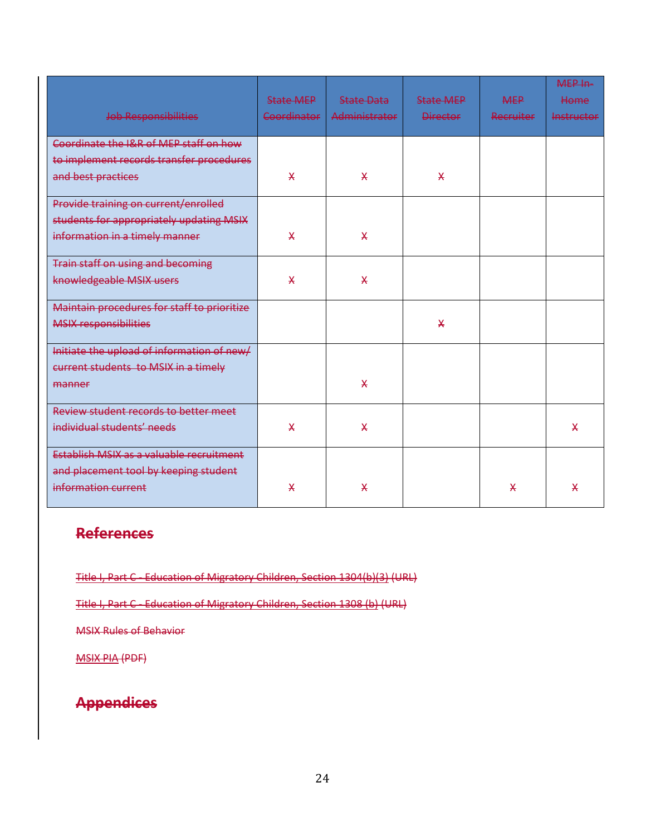| Job Responsibilities                        | <b>State MEP</b><br>Coordinator | <b>State Data</b><br><b>Administrator</b> | <b>State MFP</b><br><b>Director</b> | <b>MEP</b><br><b>Recruiter</b> | MEP In-<br>Home<br><b>Instructor</b> |
|---------------------------------------------|---------------------------------|-------------------------------------------|-------------------------------------|--------------------------------|--------------------------------------|
| Coordinate the I&R of MEP staff on how      |                                 |                                           |                                     |                                |                                      |
| to implement records transfer procedures    |                                 |                                           |                                     |                                |                                      |
| and best practices                          | $\mathsf{x}$                    | $\mathsf{\chi}$                           | $\mathsf{x}$                        |                                |                                      |
| Provide training on current/enrolled        |                                 |                                           |                                     |                                |                                      |
| students for appropriately updating MSIX    |                                 |                                           |                                     |                                |                                      |
| information in a timely manner              | $\star$                         | $\star$                                   |                                     |                                |                                      |
| <b>Train staff on using and becoming</b>    |                                 |                                           |                                     |                                |                                      |
| knowledgeable MSIX users                    | $\mathsf{\mathsf{X}}$           | $\mathsf{\chi}$                           |                                     |                                |                                      |
| Maintain procedures for staff to prioritize |                                 |                                           |                                     |                                |                                      |
| <b>MSIX responsibilities</b>                |                                 |                                           | $\mathsf{X}$                        |                                |                                      |
| Initiate the upload of information of new/  |                                 |                                           |                                     |                                |                                      |
| current students to MSIX in a timely        |                                 |                                           |                                     |                                |                                      |
| manner                                      |                                 | $\mathsf{\chi}$                           |                                     |                                |                                      |
| Review student records to better meet       |                                 |                                           |                                     |                                |                                      |
| individual students' needs                  | $\mathsf{x}$                    | $\boldsymbol{\mathsf{X}}$                 |                                     |                                | X                                    |
| Establish MSIX as a valuable recruitment    |                                 |                                           |                                     |                                |                                      |
| and placement tool by keeping student       |                                 |                                           |                                     |                                |                                      |
| information current                         | $\star$                         | $\star$                                   |                                     | ¥                              | X                                    |

# **References**

Title I, Part C - Education of Migratory Children, Section 1304(b)(3) (URL)

Title I, Part C - Education of Migratory Children, Section 1308 (b) (URL)

MSIX Rules of Behavior

MSIX PIA (PDF)

# **Appendices**